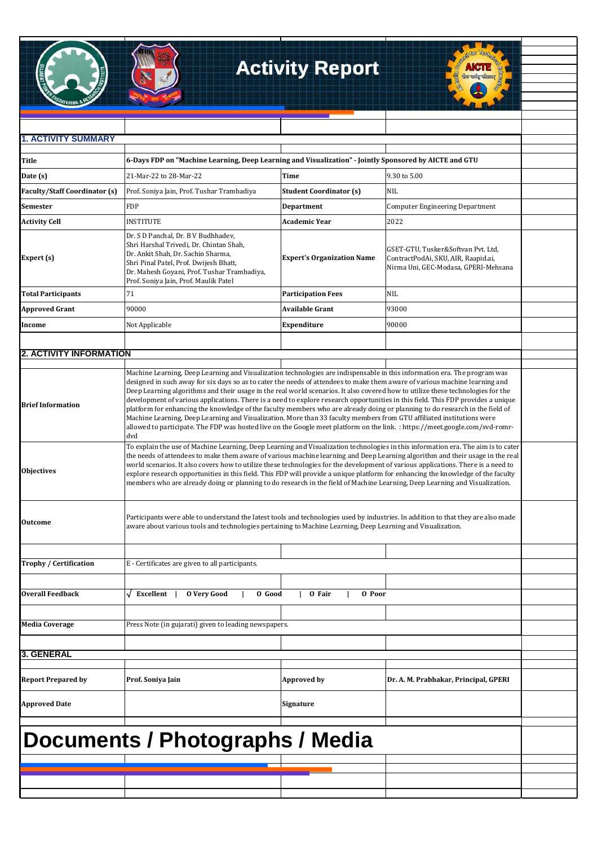## **Activity Report**



| <b>1. ACTIVITY SUMMARY</b>             |                                                                                                                                                                                                                                                                                                                                                                                                                                                                                                                                                                                                                                                                                                                                                                                                                                                                                                                                 |                                   |                                                                                                                   |  |
|----------------------------------------|---------------------------------------------------------------------------------------------------------------------------------------------------------------------------------------------------------------------------------------------------------------------------------------------------------------------------------------------------------------------------------------------------------------------------------------------------------------------------------------------------------------------------------------------------------------------------------------------------------------------------------------------------------------------------------------------------------------------------------------------------------------------------------------------------------------------------------------------------------------------------------------------------------------------------------|-----------------------------------|-------------------------------------------------------------------------------------------------------------------|--|
|                                        |                                                                                                                                                                                                                                                                                                                                                                                                                                                                                                                                                                                                                                                                                                                                                                                                                                                                                                                                 |                                   |                                                                                                                   |  |
| Title                                  | 6-Days FDP on "Machine Learning, Deep Learning and Visualization" - Jointly Sponsored by AICTE and GTU                                                                                                                                                                                                                                                                                                                                                                                                                                                                                                                                                                                                                                                                                                                                                                                                                          |                                   |                                                                                                                   |  |
| Date (s)                               | 21-Mar-22 to 28-Mar-22                                                                                                                                                                                                                                                                                                                                                                                                                                                                                                                                                                                                                                                                                                                                                                                                                                                                                                          | Time                              | 9.30 to 5.00                                                                                                      |  |
| <b>Faculty/Staff Coordinator (s)</b>   | Prof. Soniya Jain, Prof. Tushar Trambadiya                                                                                                                                                                                                                                                                                                                                                                                                                                                                                                                                                                                                                                                                                                                                                                                                                                                                                      | <b>Student Coordinator (s)</b>    | <b>NIL</b>                                                                                                        |  |
| <b>Semester</b>                        | <b>FDP</b>                                                                                                                                                                                                                                                                                                                                                                                                                                                                                                                                                                                                                                                                                                                                                                                                                                                                                                                      | Department                        | <b>Computer Engineering Department</b>                                                                            |  |
| <b>Activity Cell</b>                   | <b>INSTITUTE</b>                                                                                                                                                                                                                                                                                                                                                                                                                                                                                                                                                                                                                                                                                                                                                                                                                                                                                                                | Academic Year                     | 2022                                                                                                              |  |
| Expert (s)                             | Dr. S D Panchal, Dr. B V Budhhadev,<br>Shri Harshal Trivedi, Dr. Chintan Shah,<br>Dr. Ankit Shah, Dr. Sachin Sharma,<br>Shri Pinal Patel, Prof. Dwijesh Bhatt,<br>Dr. Mahesh Goyani, Prof. Tushar Trambadiya,<br>Prof. Soniya Jain, Prof. Maulik Patel                                                                                                                                                                                                                                                                                                                                                                                                                                                                                                                                                                                                                                                                          | <b>Expert's Organization Name</b> | GSET-GTU, Tusker&Softvan Pvt. Ltd,<br>ContractPodAi, SKU, AIR, Raapid.ai,<br>Nirma Uni, GEC-Modasa, GPERI-Mehsana |  |
| <b>Total Participants</b>              | 71                                                                                                                                                                                                                                                                                                                                                                                                                                                                                                                                                                                                                                                                                                                                                                                                                                                                                                                              | <b>Participation Fees</b>         | NIL                                                                                                               |  |
| <b>Approved Grant</b>                  | 90000                                                                                                                                                                                                                                                                                                                                                                                                                                                                                                                                                                                                                                                                                                                                                                                                                                                                                                                           | Available Grant                   | 93000                                                                                                             |  |
| Income                                 | Not Applicable                                                                                                                                                                                                                                                                                                                                                                                                                                                                                                                                                                                                                                                                                                                                                                                                                                                                                                                  | Expenditure                       | 90000                                                                                                             |  |
|                                        |                                                                                                                                                                                                                                                                                                                                                                                                                                                                                                                                                                                                                                                                                                                                                                                                                                                                                                                                 |                                   |                                                                                                                   |  |
| <b>2. ACTIVITY INFORMATION</b>         |                                                                                                                                                                                                                                                                                                                                                                                                                                                                                                                                                                                                                                                                                                                                                                                                                                                                                                                                 |                                   |                                                                                                                   |  |
| <b>Brief Information</b>               | Machine Learning, Deep Learning and Visualization technologies are indispensable in this information era. The program was<br>designed in such away for six days so as to cater the needs of attendees to make them aware of various machine learning and<br>Deep Learning algorithms and their usage in the real world scenarios. It also covered how to utilize these technologies for the<br>development of various applications. There is a need to explore research opportunities in this field. This FDP provides a unique<br>platform for enhancing the knowledge of the faculty members who are already doing or planning to do research in the field of<br>Machine Learning, Deep Learning and Visualization. More than 33 faculty members from GTU affiliated institutions were<br>allowed to participate. The FDP was hosted live on the Google meet platform on the link. : https://meet.google.com/svd-romr-<br>dvd |                                   |                                                                                                                   |  |
| <b>Objectives</b>                      | To explain the use of Machine Learning, Deep Learning and Visualization technologies in this information era. The aim is to cater<br>the needs of attendees to make them aware of various machine learning and Deep Learning algorithm and their usage in the real<br>world scenarios. It also covers how to utilize these technologies for the development of various applications. There is a need to<br>explore research opportunities in this field. This FDP will provide a unique platform for enhancing the knowledge of the faculty<br>members who are already doing or planning to do research in the field of Machine Learning, Deep Learning and Visualization.                                                                                                                                                                                                                                                      |                                   |                                                                                                                   |  |
| <b>Outcome</b>                         | Participants were able to understand the latest tools and technologies used by industries. In addition to that they are also made<br>aware about various tools and technologies pertaining to Machine Learning, Deep Learning and Visualization.                                                                                                                                                                                                                                                                                                                                                                                                                                                                                                                                                                                                                                                                                |                                   |                                                                                                                   |  |
| <b>Trophy / Certification</b>          | E - Certificates are given to all participants.                                                                                                                                                                                                                                                                                                                                                                                                                                                                                                                                                                                                                                                                                                                                                                                                                                                                                 |                                   |                                                                                                                   |  |
| <b>Overall Feedback</b>                | Excellent<br><b>O</b> Very Good<br>O Good                                                                                                                                                                                                                                                                                                                                                                                                                                                                                                                                                                                                                                                                                                                                                                                                                                                                                       | 0 Poor<br>0 Fair                  |                                                                                                                   |  |
| <b>Media Coverage</b>                  | Press Note (in gujarati) given to leading newspapers.                                                                                                                                                                                                                                                                                                                                                                                                                                                                                                                                                                                                                                                                                                                                                                                                                                                                           |                                   |                                                                                                                   |  |
| <b>3. GENERAL</b>                      |                                                                                                                                                                                                                                                                                                                                                                                                                                                                                                                                                                                                                                                                                                                                                                                                                                                                                                                                 |                                   |                                                                                                                   |  |
| <b>Report Prepared by</b>              | Prof. Soniya Jain                                                                                                                                                                                                                                                                                                                                                                                                                                                                                                                                                                                                                                                                                                                                                                                                                                                                                                               | <b>Approved by</b>                | Dr. A. M. Prabhakar, Principal, GPERI                                                                             |  |
| <b>Approved Date</b>                   |                                                                                                                                                                                                                                                                                                                                                                                                                                                                                                                                                                                                                                                                                                                                                                                                                                                                                                                                 | Signature                         |                                                                                                                   |  |
| <b>Documents / Photographs / Media</b> |                                                                                                                                                                                                                                                                                                                                                                                                                                                                                                                                                                                                                                                                                                                                                                                                                                                                                                                                 |                                   |                                                                                                                   |  |
|                                        |                                                                                                                                                                                                                                                                                                                                                                                                                                                                                                                                                                                                                                                                                                                                                                                                                                                                                                                                 |                                   |                                                                                                                   |  |
|                                        |                                                                                                                                                                                                                                                                                                                                                                                                                                                                                                                                                                                                                                                                                                                                                                                                                                                                                                                                 |                                   |                                                                                                                   |  |
|                                        |                                                                                                                                                                                                                                                                                                                                                                                                                                                                                                                                                                                                                                                                                                                                                                                                                                                                                                                                 |                                   |                                                                                                                   |  |